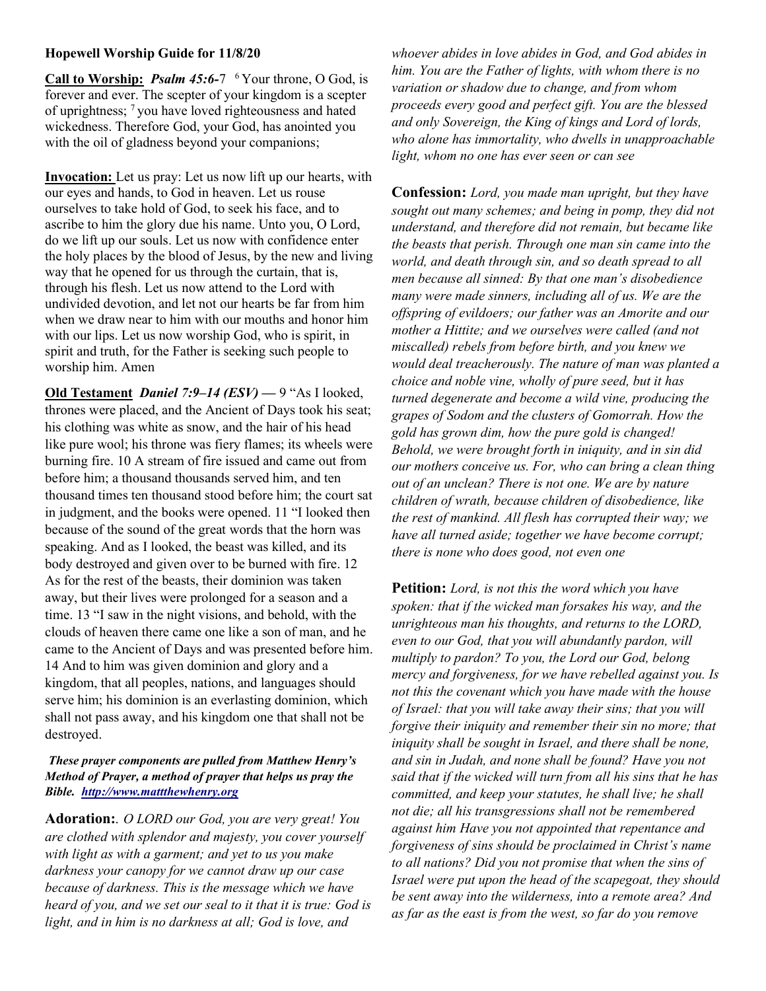## Hopewell Worship Guide for 11/8/20

Call to Worship: *Psalm 45:6-7*  $\,^6$ Your throne, O God, is forever and ever. The scepter of your kingdom is a scepter of uprightness; <sup>7</sup>you have loved righteousness and hated wickedness. Therefore God, your God, has anointed you with the oil of gladness beyond your companions;

Invocation: Let us pray: Let us now lift up our hearts, with our eyes and hands, to God in heaven. Let us rouse ourselves to take hold of God, to seek his face, and to ascribe to him the glory due his name. Unto you, O Lord, do we lift up our souls. Let us now with confidence enter the holy places by the blood of Jesus, by the new and living way that he opened for us through the curtain, that is, through his flesh. Let us now attend to the Lord with undivided devotion, and let not our hearts be far from him when we draw near to him with our mouths and honor him with our lips. Let us now worship God, who is spirit, in spirit and truth, for the Father is seeking such people to worship him. Amen

Old Testament Daniel 7:9-14 (ESV)  $-$  9 "As I looked, thrones were placed, and the Ancient of Days took his seat; his clothing was white as snow, and the hair of his head like pure wool; his throne was fiery flames; its wheels were burning fire. 10 A stream of fire issued and came out from before him; a thousand thousands served him, and ten thousand times ten thousand stood before him; the court sat in judgment, and the books were opened. 11 "I looked then because of the sound of the great words that the horn was speaking. And as I looked, the beast was killed, and its body destroyed and given over to be burned with fire. 12 As for the rest of the beasts, their dominion was taken away, but their lives were prolonged for a season and a time. 13 "I saw in the night visions, and behold, with the clouds of heaven there came one like a son of man, and he came to the Ancient of Days and was presented before him. 14 And to him was given dominion and glory and a kingdom, that all peoples, nations, and languages should serve him; his dominion is an everlasting dominion, which shall not pass away, and his kingdom one that shall not be destroyed.

## These prayer components are pulled from Matthew Henry's Method of Prayer, a method of prayer that helps us pray the Bible. http://www.mattthewhenry.org

Adoration: O LORD our God, you are very great! You are clothed with splendor and majesty, you cover yourself with light as with a garment; and yet to us you make darkness your canopy for we cannot draw up our case because of darkness. This is the message which we have heard of you, and we set our seal to it that it is true: God is light, and in him is no darkness at all; God is love, and

whoever abides in love abides in God, and God abides in him. You are the Father of lights, with whom there is no variation or shadow due to change, and from whom proceeds every good and perfect gift. You are the blessed and only Sovereign, the King of kings and Lord of lords, who alone has immortality, who dwells in unapproachable light, whom no one has ever seen or can see

Confession: Lord, you made man upright, but they have sought out many schemes; and being in pomp, they did not understand, and therefore did not remain, but became like the beasts that perish. Through one man sin came into the world, and death through sin, and so death spread to all men because all sinned: By that one man's disobedience many were made sinners, including all of us. We are the offspring of evildoers; our father was an Amorite and our mother a Hittite; and we ourselves were called (and not miscalled) rebels from before birth, and you knew we would deal treacherously. The nature of man was planted a choice and noble vine, wholly of pure seed, but it has turned degenerate and become a wild vine, producing the grapes of Sodom and the clusters of Gomorrah. How the gold has grown dim, how the pure gold is changed! Behold, we were brought forth in iniquity, and in sin did our mothers conceive us. For, who can bring a clean thing out of an unclean? There is not one. We are by nature children of wrath, because children of disobedience, like the rest of mankind. All flesh has corrupted their way; we have all turned aside; together we have become corrupt; there is none who does good, not even one

Petition: Lord, is not this the word which you have spoken: that if the wicked man forsakes his way, and the unrighteous man his thoughts, and returns to the LORD, even to our God, that you will abundantly pardon, will multiply to pardon? To you, the Lord our God, belong mercy and forgiveness, for we have rebelled against you. Is not this the covenant which you have made with the house of Israel: that you will take away their sins; that you will forgive their iniquity and remember their sin no more; that iniquity shall be sought in Israel, and there shall be none, and sin in Judah, and none shall be found? Have you not said that if the wicked will turn from all his sins that he has committed, and keep your statutes, he shall live; he shall not die; all his transgressions shall not be remembered against him Have you not appointed that repentance and forgiveness of sins should be proclaimed in Christ's name to all nations? Did you not promise that when the sins of Israel were put upon the head of the scapegoat, they should be sent away into the wilderness, into a remote area? And as far as the east is from the west, so far do you remove